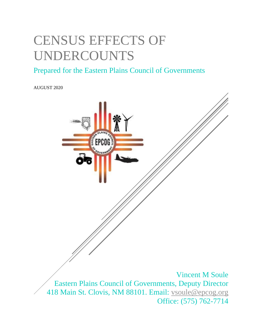# CENSUS EFFECTS OF UNDERCOUNTS

### Prepared for the Eastern Plains Council of Governments

AUGUST 2020

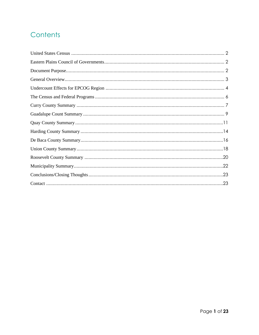### Contents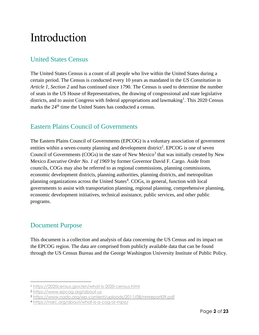## Introduction

#### <span id="page-2-0"></span>United States Census

The United States Census is a count of all people who live within the United States during a certain period. The Census is conducted every 10 years as mandated in the *US Constitution* in *Article 1, Section 2* and has continued since 1790. The Census is used to determine the number of seats in the US House of Representatives, the drawing of congressional and state legislative districts, and to assist Congress with federal appropriations and lawmaking<sup>1</sup>. This 2020 Census marks the 24<sup>th</sup> time the United States has conducted a census.

#### <span id="page-2-1"></span>Eastern Plains Council of Governments

The Eastern Plains Council of Governments (EPCOG) is a voluntary association of government entities within a seven-county planning and development district<sup>2</sup>. EPCOG is one of seven Council of Governments (COGs) in the state of New Mexico<sup>3</sup> that was initially created by New Mexico *Executive Order No. 1 of 1969* by former Governor David F. Cargo. Aside from councils, COGs may also be referred to as regional commissions, planning commissions, economic development districts, planning authorities, planning districts, and metropolitan planning organizations across the United States<sup>4</sup>. COGs, in general, function with local governments to assist with transportation planning, regional planning, comprehensive planning, economic development initiatives, technical assistance, public services, and other public programs.

#### <span id="page-2-2"></span>Document Purpose

This document is a collection and analysis of data concerning the US Census and its impact on the EPCOG region. The data are comprised from publicly available data that can be found through the US Census Bureau and the George Washington University Institute of Public Policy.

<sup>1</sup> <https://2020census.gov/en/what-is-2020-census.html>

<sup>2</sup> <https://www.epcog.org/about-us>

<sup>3</sup> <https://www.nado.org/wp-content/uploads/2011/08/nmreport09.pdf>

<sup>4</sup> <https://narc.org/about/what-is-a-cog-or-mpo/>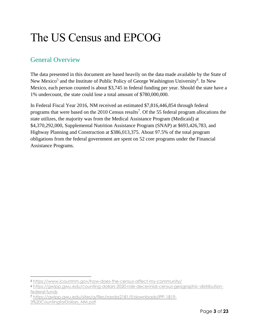## The US Census and EPCOG

#### <span id="page-3-0"></span>General Overview

The data presented in this document are based heavily on the data made available by the State of New Mexico<sup>5</sup> and the Institute of Public Policy of George Washington University<sup>6</sup>. In New Mexico, each person counted is about \$3,745 in federal funding per year. Should the state have a 1% undercount, the state could lose a total amount of \$780,000,000.

In Federal Fiscal Year 2016, NM received an estimated \$7,816,446,854 through federal programs that were based on the  $2010$  Census results<sup>7</sup>. Of the 55 federal program allocations the state utilizes, the majority was from the Medical Assistance Program (Medicaid) at \$4,370,292,000, Supplemental Nutrition Assistance Program (SNAP) at \$693,426,783, and Highway Planning and Construction at \$386,013,375. About 97.5% of the total program obligations from the federal government are spent on 52 core programs under the Financial Assistance Programs.

<sup>5</sup> <https://www.icountnm.gov/how-does-the-census-affect-my-community/>

<sup>6</sup> [https://gwipp.gwu.edu/counting-dollars-2020-role-decennial-census-geographic-distribution](https://gwipp.gwu.edu/counting-dollars-2020-role-decennial-census-geographic-distribution-federal-funds)[federal-funds](https://gwipp.gwu.edu/counting-dollars-2020-role-decennial-census-geographic-distribution-federal-funds)

<sup>7</sup> [https://gwipp.gwu.edu/sites/g/files/zaxdzs2181/f/downloads/IPP-1819-](https://gwipp.gwu.edu/sites/g/files/zaxdzs2181/f/downloads/IPP-1819-3%20CountingforDollars_NM.pdf) [3%20CountingforDollars\\_NM.pdf](https://gwipp.gwu.edu/sites/g/files/zaxdzs2181/f/downloads/IPP-1819-3%20CountingforDollars_NM.pdf)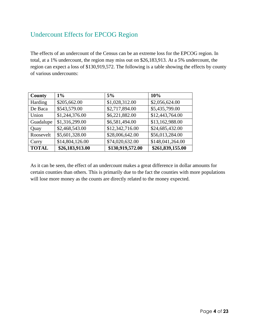#### <span id="page-4-0"></span>Undercount Effects for EPCOG Region

The effects of an undercount of the Census can be an extreme loss for the EPCOG region. In total, at a 1% undercount, the region may miss out on \$26,183,913. At a 5% undercount, the region can expect a loss of \$130,919,572. The following is a table showing the effects by county of various undercounts:

| <b>County</b> | 1%              | 5%               | 10%              |
|---------------|-----------------|------------------|------------------|
| Harding       | \$205,662.00    | \$1,028,312.00   | \$2,056,624.00   |
| De Baca       | \$543,579.00    | \$2,717,894.00   | \$5,435,799.00   |
| Union         | \$1,244,376.00  | \$6,221,882.00   | \$12,443,764.00  |
| Guadalupe     | \$1,316,299.00  | \$6,581,494.00   | \$13,162,988.00  |
| Quay          | \$2,468,543.00  | \$12,342,716.00  | \$24,685,432.00  |
| Roosevelt     | \$5,601,328.00  | \$28,006,642.00  | \$56,013,284.00  |
| Curry         | \$14,804,126.00 | \$74,020,632.00  | \$148,041,264.00 |
| <b>TOTAL</b>  | \$26,183,913.00 | \$130,919,572.00 | \$261,839,155.00 |

As it can be seen, the effect of an undercount makes a great difference in dollar amounts for certain counties than others. This is primarily due to the fact the counties with more populations will lose more money as the counts are directly related to the money expected.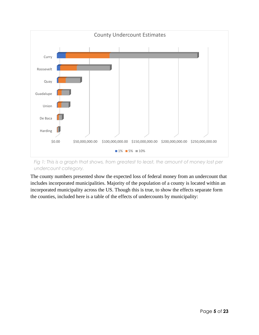

*Fig 1: This is a graph that shows, from greatest to least, the amount of money lost per undercount category.*

The county numbers presented show the expected loss of federal money from an undercount that includes incorporated municipalities. Majority of the population of a county is located within an incorporated municipality across the US. Though this is true, to show the effects separate form the counties, included here is a table of the effects of undercounts by municipality: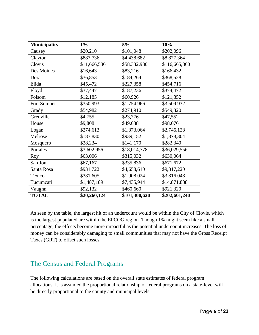| <b>Municipality</b> | $1\%$        | 5%            | 10%           |
|---------------------|--------------|---------------|---------------|
| Causey              | \$20,210     | \$101,048     | \$202,096     |
| Clayton             | \$887,736    | \$4,438,682   | \$8,877,364   |
| Clovis              | \$11,666,586 | \$58,332,930  | \$116,665,860 |
| Des Moines          | \$16,643     | \$83,216      | \$166,432     |
| Dora                | \$36,853     | \$184,264     | \$368,528     |
| Elida               | \$45,472     | \$227,358     | \$454,716     |
| Floyd               | \$37,447     | \$187,236     | \$374,472     |
| Folsom              | \$12,185     | \$60,926      | \$121,852     |
| Fort Sumner         | \$350,993    | \$1,754,966   | \$3,509,932   |
| Grady               | \$54,982     | \$274,910     | \$549,820     |
| Grenville           | \$4,755      | \$23,776      | \$47,552      |
| House               | \$9,808      | \$49,038      | \$98,076      |
| Logan               | \$274,613    | \$1,373,064   | \$2,746,128   |
| Melrose             | \$187,830    | \$939,152     | \$1,878,304   |
| Mosquero            | \$28,234     | \$141,170     | \$282,340     |
| Portales            | \$3,602,956  | \$18,014,778  | \$36,029,556  |
| Roy                 | \$63,006     | \$315,032     | \$630,064     |
| San Jon             | \$67,167     | \$335,836     | \$671,672     |
| Santa Rosa          | \$931,722    | \$4,658,610   | \$9,317,220   |
| Texico              | \$381,605    | \$1,908,024   | \$3,816,048   |
| Tucumcari           | \$1,487,189  | \$7,435,944   | \$14,871,888  |
| Vaughn              | \$92,132     | \$460,660     | \$921,320     |
| <b>TOTAL</b>        | \$20,260,124 | \$101,300,620 | \$202,601,240 |

As seen by the table, the largest hit of an undercount would be within the City of Clovis, which is the largest populated are within the EPCOG region. Though 1% might seem like a small percentage, the effects become more impactful as the potential undercount increases. The loss of money can be considerably damaging to small communities that may not have the Gross Receipt Taxes (GRT) to offset such losses.

#### <span id="page-6-0"></span>The Census and Federal Programs

The following calculations are based on the overall state estimates of federal program allocations. It is assumed the proportional relationship of federal programs on a state-level will be directly proportional to the county and municipal levels.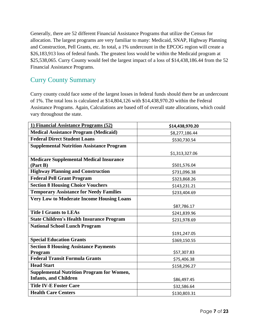Generally, there are 52 different Financial Assistance Programs that utilize the Census for allocation. The largest programs are very familiar to many: Medicaid, SNAP, Highway Planning and Construction, Pell Grants, etc. In total, a 1% undercount in the EPCOG region will create a \$26,183,913 loss of federal funds. The greatest loss would be within the Medicaid program at \$25,538,065. Curry County would feel the largest impact of a loss of \$14,438,186.44 from the 52 Financial Assistance Programs.

#### <span id="page-7-0"></span>Curry County Summary

Curry county could face some of the largest losses in federal funds should there be an undercount of 1%. The total loss is calculated at \$14,804,126 with \$14,438,970.20 within the Federal Assistance Programs. Again, Calculations are based off of overall state allocations, which could vary throughout the state.

| 1) Financial Assistance Programs (52)            | \$14,438,970.20 |
|--------------------------------------------------|-----------------|
| <b>Medical Assistance Program (Medicaid)</b>     | \$8,277,186.44  |
| <b>Federal Direct Student Loans</b>              | \$530,730.54    |
| <b>Supplemental Nutrition Assistance Program</b> |                 |
|                                                  | \$1,313,327.06  |
| <b>Medicare Supplemental Medical Insurance</b>   |                 |
| (Part B)                                         | \$501,576.04    |
| <b>Highway Planning and Construction</b>         | \$731,096.38    |
| <b>Federal Pell Grant Program</b>                | \$323,868.26    |
| <b>Section 8 Housing Choice Vouchers</b>         | \$143,231.21    |
| <b>Temporary Assistance for Needy Families</b>   | \$233,404.69    |
| <b>Very Low to Moderate Income Housing Loans</b> |                 |
|                                                  | \$87,786.17     |
| <b>Title I Grants to LEAs</b>                    | \$241,839.96    |
| <b>State Children's Health Insurance Program</b> | \$231,978.69    |
| <b>National School Lunch Program</b>             |                 |
|                                                  | \$191,247.05    |
| <b>Special Education Grants</b>                  | \$369,150.55    |
| <b>Section 8 Housing Assistance Payments</b>     |                 |
| Program                                          | \$57,307.83     |
| <b>Federal Transit Formula Grants</b>            | \$75,406.38     |
| <b>Head Start</b>                                | \$158,296.27    |
| <b>Supplemental Nutrition Program for Women,</b> |                 |
| <b>Infants, and Children</b>                     | \$86,497.45     |
| <b>Title IV-E Foster Care</b>                    | \$32,586.64     |
| <b>Health Care Centers</b>                       | \$130,803.31    |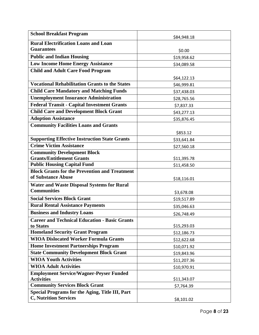| <b>School Breakfast Program</b>                                                             | \$84,948.18 |
|---------------------------------------------------------------------------------------------|-------------|
| <b>Rural Electrification Loans and Loan</b>                                                 |             |
| <b>Guarantees</b>                                                                           | \$0.00      |
| <b>Public and Indian Housing</b>                                                            | \$19,958.62 |
| <b>Low Income Home Energy Assistance</b>                                                    | \$34,089.58 |
| <b>Child and Adult Care Food Program</b>                                                    |             |
|                                                                                             | \$64,122.13 |
| <b>Vocational Rehabilitation Grants to the States</b>                                       | \$46,999.81 |
| <b>Child Care Mandatory and Matching Funds</b>                                              | \$37,438.03 |
| <b>Unemployment Insurance Administration</b>                                                | \$28,765.56 |
| <b>Federal Transit - Capital Investment Grants</b>                                          | \$7,837.33  |
| <b>Child Care and Development Block Grant</b>                                               | \$43,277.13 |
| <b>Adoption Assistance</b>                                                                  | \$35,876.45 |
| <b>Community Facilities Loans and Grants</b>                                                |             |
|                                                                                             | \$853.12    |
| <b>Supporting Effective Instruction State Grants</b>                                        | \$33,641.84 |
| <b>Crime Victim Assistance</b>                                                              | \$27,560.18 |
| <b>Community Development Block</b>                                                          |             |
| <b>Grants/Entitlement Grants</b>                                                            | \$11,395.78 |
| <b>Public Housing Capital Fund</b>                                                          | \$11,458.50 |
| <b>Block Grants for the Prevention and Treatment</b>                                        |             |
| of Substance Abuse                                                                          | \$18,116.01 |
| <b>Water and Waste Disposal Systems for Rural</b>                                           |             |
| <b>Communities</b>                                                                          | \$3,678.08  |
| <b>Social Services Block Grant</b>                                                          | \$19,517.89 |
| <b>Rural Rental Assistance Payments</b>                                                     | \$35,046.63 |
| <b>Business and Industry Loans</b>                                                          | \$26,748.49 |
| <b>Career and Technical Education - Basic Grants</b>                                        |             |
| to States                                                                                   | \$15,293.03 |
| <b>Homeland Security Grant Program</b>                                                      | \$12,186.73 |
| <b>WIOA Dislocated Worker Formula Grants</b><br><b>Home Investment Partnerships Program</b> | \$12,622.68 |
| <b>State Community Development Block Grant</b>                                              | \$10,071.92 |
|                                                                                             | \$19,843.96 |
| <b>WIOA Youth Activities</b>                                                                | \$11,207.36 |
| <b>WIOA Adult Activities</b>                                                                | \$10,970.91 |
| <b>Employment Service/Wagner-Peyser Funded</b><br><b>Activities</b>                         | \$11,343.07 |
| <b>Community Services Block Grant</b>                                                       | \$7,764.39  |
| Special Programs for the Aging, Title III, Part                                             |             |
| <b>C, Nutrition Services</b>                                                                | \$8,101.02  |
|                                                                                             |             |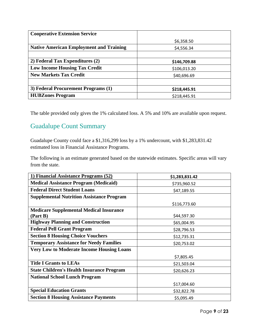| <b>Cooperative Extension Service</b>           |              |
|------------------------------------------------|--------------|
|                                                | \$6,358.50   |
| <b>Native American Employment and Training</b> | \$4,556.34   |
|                                                |              |
| 2) Federal Tax Expenditures (2)                | \$146,709.88 |
| <b>Low Income Housing Tax Credit</b>           | \$106,013.20 |
| <b>New Markets Tax Credit</b>                  | \$40,696.69  |
|                                                |              |
| 3) Federal Procurement Programs (1)            | \$218,445.91 |
| <b>HUBZones Program</b>                        | \$218,445.91 |

#### <span id="page-9-0"></span>Guadalupe Count Summary

Guadalupe County could face a \$1,316,299 loss by a 1% undercount, with \$1,283,831.42 estimated loss in Financial Assistance Programs.

The following is an estimate generated based on the statewide estimates. Specific areas will vary from the state.

| 1) Financial Assistance Programs (52)            | \$1,283,831.42 |
|--------------------------------------------------|----------------|
| <b>Medical Assistance Program (Medicaid)</b>     | \$735,960.52   |
| <b>Federal Direct Student Loans</b>              | \$47,189.55    |
| <b>Supplemental Nutrition Assistance Program</b> |                |
|                                                  | \$116,773.60   |
| <b>Medicare Supplemental Medical Insurance</b>   |                |
| (Part B)                                         | \$44,597.30    |
| <b>Highway Planning and Construction</b>         | \$65,004.95    |
| <b>Federal Pell Grant Program</b>                | \$28,796.53    |
| <b>Section 8 Housing Choice Vouchers</b>         | \$12,735.31    |
| <b>Temporary Assistance for Needy Families</b>   | \$20,753.02    |
| <b>Very Low to Moderate Income Housing Loans</b> |                |
|                                                  | \$7,805.45     |
| <b>Title I Grants to LEAs</b>                    | \$21,503.04    |
| <b>State Children's Health Insurance Program</b> | \$20,626.23    |
| <b>National School Lunch Program</b>             |                |
|                                                  | \$17,004.60    |
| <b>Special Education Grants</b>                  | \$32,822.78    |
| <b>Section 8 Housing Assistance Payments</b>     | \$5,095.49     |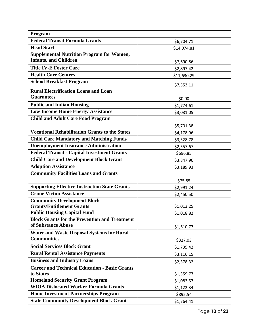| Program                                                                    |             |
|----------------------------------------------------------------------------|-------------|
| <b>Federal Transit Formula Grants</b>                                      | \$6,704.71  |
| <b>Head Start</b>                                                          | \$14,074.81 |
| <b>Supplemental Nutrition Program for Women,</b>                           |             |
| <b>Infants, and Children</b>                                               | \$7,690.86  |
| <b>Title IV-E Foster Care</b>                                              | \$2,897.42  |
| <b>Health Care Centers</b>                                                 | \$11,630.29 |
| <b>School Breakfast Program</b>                                            | \$7,553.11  |
| <b>Rural Electrification Loans and Loan</b>                                |             |
| <b>Guarantees</b>                                                          | \$0.00      |
| <b>Public and Indian Housing</b>                                           | \$1,774.61  |
| <b>Low Income Home Energy Assistance</b>                                   | \$3,031.05  |
| <b>Child and Adult Care Food Program</b>                                   |             |
|                                                                            | \$5,701.38  |
| <b>Vocational Rehabilitation Grants to the States</b>                      | \$4,178.96  |
| <b>Child Care Mandatory and Matching Funds</b>                             | \$3,328.78  |
| <b>Unemployment Insurance Administration</b>                               | \$2,557.67  |
| <b>Federal Transit - Capital Investment Grants</b>                         | \$696.85    |
| <b>Child Care and Development Block Grant</b>                              | \$3,847.96  |
| <b>Adoption Assistance</b>                                                 | \$3,189.93  |
| <b>Community Facilities Loans and Grants</b>                               |             |
|                                                                            | \$75.85     |
| <b>Supporting Effective Instruction State Grants</b>                       | \$2,991.24  |
| <b>Crime Victim Assistance</b>                                             | \$2,450.50  |
| <b>Community Development Block</b>                                         |             |
| <b>Grants/Entitlement Grants</b>                                           | \$1,013.25  |
| <b>Public Housing Capital Fund</b>                                         | \$1,018.82  |
| <b>Block Grants for the Prevention and Treatment</b><br>of Substance Abuse |             |
|                                                                            | \$1,610.77  |
| <b>Water and Waste Disposal Systems for Rural</b><br><b>Communities</b>    | \$327.03    |
| <b>Social Services Block Grant</b>                                         | \$1,735.42  |
| <b>Rural Rental Assistance Payments</b>                                    |             |
| <b>Business and Industry Loans</b>                                         | \$3,116.15  |
| <b>Career and Technical Education - Basic Grants</b>                       | \$2,378.32  |
| to States                                                                  | \$1,359.77  |
| <b>Homeland Security Grant Program</b>                                     | \$1,083.57  |
| <b>WIOA Dislocated Worker Formula Grants</b>                               | \$1,122.34  |
| <b>Home Investment Partnerships Program</b>                                | \$895.54    |
| <b>State Community Development Block Grant</b>                             | \$1,764.41  |
|                                                                            |             |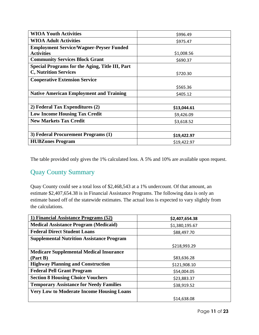| <b>WIOA Youth Activities</b>                    | \$996.49    |
|-------------------------------------------------|-------------|
| <b>WIOA Adult Activities</b>                    | \$975.47    |
| <b>Employment Service/Wagner-Peyser Funded</b>  |             |
| <b>Activities</b>                               | \$1,008.56  |
| <b>Community Services Block Grant</b>           | \$690.37    |
| Special Programs for the Aging, Title III, Part |             |
| <b>C, Nutrition Services</b>                    | \$720.30    |
| <b>Cooperative Extension Service</b>            |             |
|                                                 | \$565.36    |
| <b>Native American Employment and Training</b>  | \$405.12    |
|                                                 |             |
| 2) Federal Tax Expenditures (2)                 | \$13,044.61 |
| <b>Low Income Housing Tax Credit</b>            | \$9,426.09  |
| <b>New Markets Tax Credit</b>                   | \$3,618.52  |
|                                                 |             |
| 3) Federal Procurement Programs (1)             | \$19,422.97 |
| <b>HUBZones Program</b>                         | \$19,422.97 |

#### <span id="page-11-0"></span>Quay County Summary

Quay County could see a total loss of \$2,468,543 at a 1% undercount. Of that amount, an estimate \$2,407,654.38 is in Financial Assistance Programs. The following data is only an estimate based off of the statewide estimates. The actual loss is expected to vary slightly from the calculations.

| 1) Financial Assistance Programs (52)            | \$2,407,654.38 |
|--------------------------------------------------|----------------|
| <b>Medical Assistance Program (Medicaid)</b>     | \$1,380,195.67 |
| <b>Federal Direct Student Loans</b>              | \$88,497.70    |
| <b>Supplemental Nutrition Assistance Program</b> |                |
|                                                  | \$218,993.29   |
| <b>Medicare Supplemental Medical Insurance</b>   |                |
| (Part B)                                         | \$83,636.28    |
| <b>Highway Planning and Construction</b>         | \$121,908.10   |
| <b>Federal Pell Grant Program</b>                | \$54,004.05    |
| <b>Section 8 Housing Choice Vouchers</b>         | \$23,883.37    |
| <b>Temporary Assistance for Needy Families</b>   | \$38,919.52    |
| <b>Very Low to Moderate Income Housing Loans</b> |                |
|                                                  | \$14,638.08    |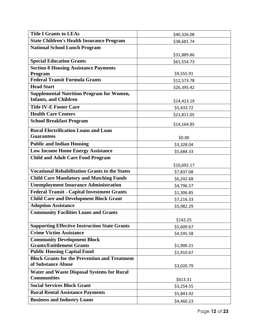| <b>Title I Grants to LEAs</b>                         | \$40,326.08 |
|-------------------------------------------------------|-------------|
| <b>State Children's Health Insurance Program</b>      | \$38,681.74 |
| <b>National School Lunch Program</b>                  |             |
|                                                       | \$31,889.86 |
| <b>Special Education Grants</b>                       | \$61,554.73 |
| <b>Section 8 Housing Assistance Payments</b>          |             |
| Program                                               | \$9,555.91  |
| <b>Federal Transit Formula Grants</b>                 | \$12,573.78 |
| <b>Head Start</b>                                     | \$26,395.42 |
| <b>Supplemental Nutrition Program for Women,</b>      |             |
| <b>Infants, and Children</b>                          | \$14,423.19 |
| <b>Title IV-E Foster Care</b>                         | \$5,433.72  |
| <b>Health Care Centers</b>                            | \$21,811.05 |
| <b>School Breakfast Program</b>                       | \$14,164.85 |
| <b>Rural Electrification Loans and Loan</b>           |             |
| <b>Guarantees</b>                                     | \$0.00      |
| <b>Public and Indian Housing</b>                      | \$3,328.04  |
| <b>Low Income Home Energy Assistance</b>              | \$5,684.33  |
| <b>Child and Adult Care Food Program</b>              |             |
|                                                       | \$10,692.17 |
| <b>Vocational Rehabilitation Grants to the States</b> | \$7,837.08  |
| <b>Child Care Mandatory and Matching Funds</b>        | \$6,242.68  |
| <b>Unemployment Insurance Administration</b>          | \$4,796.57  |
| <b>Federal Transit - Capital Investment Grants</b>    | \$1,306.85  |
| <b>Child Care and Development Block Grant</b>         | \$7,216.33  |
| <b>Adoption Assistance</b>                            | \$5,982.29  |
| <b>Community Facilities Loans and Grants</b>          |             |
|                                                       | \$142.25    |
| <b>Supporting Effective Instruction State Grants</b>  | \$5,609.67  |
| <b>Crime Victim Assistance</b>                        | \$4,595.58  |
| <b>Community Development Block</b>                    |             |
| <b>Grants/Entitlement Grants</b>                      | \$1,900.21  |
| <b>Public Housing Capital Fund</b>                    | \$1,910.67  |
| <b>Block Grants for the Prevention and Treatment</b>  |             |
| of Substance Abuse                                    | \$3,020.79  |
| <b>Water and Waste Disposal Systems for Rural</b>     |             |
| <b>Communities</b>                                    | \$613.31    |
| <b>Social Services Block Grant</b>                    | \$3,254.55  |
| <b>Rural Rental Assistance Payments</b>               | \$5,843.92  |
| <b>Business and Industry Loans</b>                    | \$4,460.23  |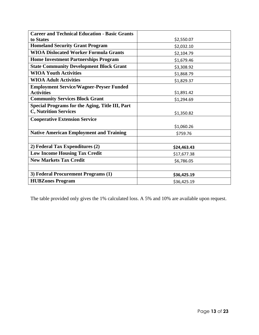| <b>Career and Technical Education - Basic Grants</b>   |             |
|--------------------------------------------------------|-------------|
| to States                                              | \$2,550.07  |
| <b>Homeland Security Grant Program</b>                 | \$2,032.10  |
| <b>WIOA Dislocated Worker Formula Grants</b>           | \$2,104.79  |
| <b>Home Investment Partnerships Program</b>            | \$1,679.46  |
| <b>State Community Development Block Grant</b>         | \$3,308.92  |
| <b>WIOA Youth Activities</b>                           | \$1,868.79  |
| <b>WIOA Adult Activities</b>                           | \$1,829.37  |
| <b>Employment Service/Wagner-Peyser Funded</b>         |             |
| <b>Activities</b>                                      | \$1,891.42  |
| <b>Community Services Block Grant</b>                  | \$1,294.69  |
| <b>Special Programs for the Aging, Title III, Part</b> |             |
| <b>C, Nutrition Services</b>                           | \$1,350.82  |
| <b>Cooperative Extension Service</b>                   |             |
|                                                        | \$1,060.26  |
| <b>Native American Employment and Training</b>         | \$759.76    |
|                                                        |             |
| 2) Federal Tax Expenditures (2)                        | \$24,463.43 |
| <b>Low Income Housing Tax Credit</b>                   | \$17,677.38 |
| <b>New Markets Tax Credit</b>                          | \$6,786.05  |
|                                                        |             |
| 3) Federal Procurement Programs (1)                    | \$36,425.19 |
| <b>HUBZones Program</b>                                | \$36,425.19 |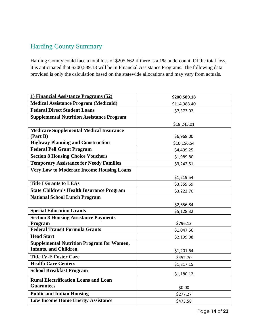#### <span id="page-14-0"></span>Harding County Summary

Harding County could face a total loss of \$205,662 if there is a 1% undercount. Of the total loss, it is anticipated that \$200,589.18 will be in Financial Assistance Programs. The following data provided is only the calculation based on the statewide allocations and may vary from actuals.

| 1) Financial Assistance Programs (52)            | \$200,589.18 |
|--------------------------------------------------|--------------|
| <b>Medical Assistance Program (Medicaid)</b>     | \$114,988.40 |
| <b>Federal Direct Student Loans</b>              | \$7,373.02   |
| <b>Supplemental Nutrition Assistance Program</b> |              |
|                                                  | \$18,245.01  |
| <b>Medicare Supplemental Medical Insurance</b>   |              |
| (Part B)                                         | \$6,968.00   |
| <b>Highway Planning and Construction</b>         | \$10,156.54  |
| <b>Federal Pell Grant Program</b>                | \$4,499.25   |
| <b>Section 8 Housing Choice Vouchers</b>         | \$1,989.80   |
| <b>Temporary Assistance for Needy Families</b>   | \$3,242.51   |
| <b>Very Low to Moderate Income Housing Loans</b> |              |
|                                                  | \$1,219.54   |
| <b>Title I Grants to LEAs</b>                    | \$3,359.69   |
| <b>State Children's Health Insurance Program</b> | \$3,222.70   |
| <b>National School Lunch Program</b>             |              |
|                                                  | \$2,656.84   |
| <b>Special Education Grants</b>                  | \$5,128.32   |
| <b>Section 8 Housing Assistance Payments</b>     |              |
| Program                                          | \$796.13     |
| <b>Federal Transit Formula Grants</b>            | \$1,047.56   |
| <b>Head Start</b>                                | \$2,199.08   |
| <b>Supplemental Nutrition Program for Women,</b> |              |
| <b>Infants, and Children</b>                     | \$1,201.64   |
| <b>Title IV-E Foster Care</b>                    | \$452.70     |
| <b>Health Care Centers</b>                       | \$1,817.15   |
| <b>School Breakfast Program</b>                  | \$1,180.12   |
| <b>Rural Electrification Loans and Loan</b>      |              |
| <b>Guarantees</b>                                | \$0.00       |
| <b>Public and Indian Housing</b>                 | \$277.27     |
| <b>Low Income Home Energy Assistance</b>         | \$473.58     |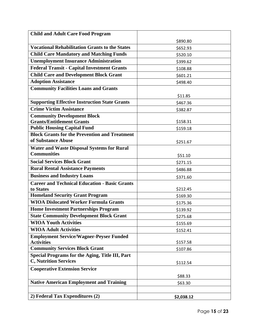| <b>Child and Adult Care Food Program</b>                                   |            |
|----------------------------------------------------------------------------|------------|
|                                                                            | \$890.80   |
| <b>Vocational Rehabilitation Grants to the States</b>                      | \$652.93   |
| <b>Child Care Mandatory and Matching Funds</b>                             | \$520.10   |
| <b>Unemployment Insurance Administration</b>                               | \$399.62   |
| <b>Federal Transit - Capital Investment Grants</b>                         | \$108.88   |
| <b>Child Care and Development Block Grant</b>                              | \$601.21   |
| <b>Adoption Assistance</b>                                                 | \$498.40   |
| <b>Community Facilities Loans and Grants</b>                               |            |
|                                                                            | \$11.85    |
| <b>Supporting Effective Instruction State Grants</b>                       | \$467.36   |
| <b>Crime Victim Assistance</b>                                             | \$382.87   |
| <b>Community Development Block</b>                                         |            |
| <b>Grants/Entitlement Grants</b>                                           | \$158.31   |
| <b>Public Housing Capital Fund</b>                                         | \$159.18   |
| <b>Block Grants for the Prevention and Treatment</b><br>of Substance Abuse |            |
|                                                                            | \$251.67   |
| <b>Water and Waste Disposal Systems for Rural</b><br><b>Communities</b>    |            |
|                                                                            | \$51.10    |
| <b>Social Services Block Grant</b>                                         | \$271.15   |
| <b>Rural Rental Assistance Payments</b>                                    | \$486.88   |
| <b>Business and Industry Loans</b>                                         | \$371.60   |
| <b>Career and Technical Education - Basic Grants</b>                       |            |
| to States<br><b>Homeland Security Grant Program</b>                        | \$212.45   |
| <b>WIOA Dislocated Worker Formula Grants</b>                               | \$169.30   |
| <b>Home Investment Partnerships Program</b>                                | \$175.36   |
| <b>State Community Development Block Grant</b>                             | \$139.92   |
| <b>WIOA Youth Activities</b>                                               | \$275.68   |
| <b>WIOA Adult Activities</b>                                               | \$155.69   |
| <b>Employment Service/Wagner-Peyser Funded</b>                             | \$152.41   |
| <b>Activities</b>                                                          | \$157.58   |
| <b>Community Services Block Grant</b>                                      | \$107.86   |
| <b>Special Programs for the Aging, Title III, Part</b>                     |            |
| <b>C, Nutrition Services</b>                                               | \$112.54   |
| <b>Cooperative Extension Service</b>                                       |            |
|                                                                            | \$88.33    |
| <b>Native American Employment and Training</b>                             | \$63.30    |
|                                                                            |            |
| 2) Federal Tax Expenditures (2)                                            | \$2,038.12 |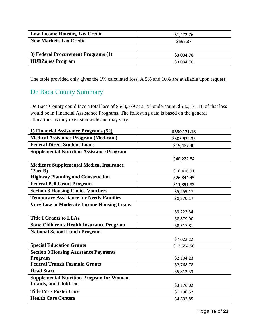| <b>Low Income Housing Tax Credit</b> | \$1,472.76 |
|--------------------------------------|------------|
| <b>New Markets Tax Credit</b>        | \$565.37   |
|                                      |            |
| 3) Federal Procurement Programs (1)  | \$3,034.70 |
| <b>HUBZones Program</b>              | \$3,034.70 |

#### <span id="page-16-0"></span>De Baca County Summary

De Baca County could face a total loss of \$543,579 at a 1% undercount. \$530,171.18 of that loss would be in Financial Assistance Programs. The following data is based on the general allocations as they exist statewide and may vary.

| 1) Financial Assistance Programs (52)            | \$530,171.18 |
|--------------------------------------------------|--------------|
| <b>Medical Assistance Program (Medicaid)</b>     | \$303,922.35 |
| <b>Federal Direct Student Loans</b>              | \$19,487.40  |
| <b>Supplemental Nutrition Assistance Program</b> |              |
|                                                  | \$48,222.84  |
| <b>Medicare Supplemental Medical Insurance</b>   |              |
| (Part B)                                         | \$18,416.91  |
| <b>Highway Planning and Construction</b>         | \$26,844.45  |
| <b>Federal Pell Grant Program</b>                | \$11,891.82  |
| <b>Section 8 Housing Choice Vouchers</b>         | \$5,259.17   |
| <b>Temporary Assistance for Needy Families</b>   | \$8,570.17   |
| <b>Very Low to Moderate Income Housing Loans</b> |              |
|                                                  | \$3,223.34   |
| <b>Title I Grants to LEAs</b>                    | \$8,879.90   |
| <b>State Children's Health Insurance Program</b> | \$8,517.81   |
| <b>National School Lunch Program</b>             |              |
|                                                  | \$7,022.22   |
| <b>Special Education Grants</b>                  | \$13,554.50  |
| <b>Section 8 Housing Assistance Payments</b>     |              |
| Program                                          | \$2,104.23   |
| <b>Federal Transit Formula Grants</b>            | \$2,768.78   |
| <b>Head Start</b>                                | \$5,812.33   |
| <b>Supplemental Nutrition Program for Women,</b> |              |
| <b>Infants, and Children</b>                     | \$3,176.02   |
| <b>Title IV-E Foster Care</b>                    | \$1,196.52   |
| <b>Health Care Centers</b>                       | \$4,802.85   |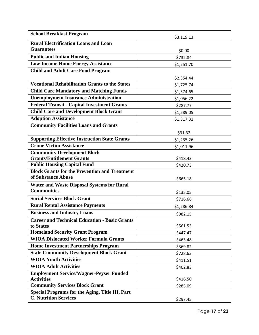| <b>School Breakfast Program</b>                                     | \$3,119.13 |
|---------------------------------------------------------------------|------------|
| <b>Rural Electrification Loans and Loan</b>                         |            |
| <b>Guarantees</b>                                                   | \$0.00     |
| <b>Public and Indian Housing</b>                                    | \$732.84   |
| <b>Low Income Home Energy Assistance</b>                            | \$1,251.70 |
| <b>Child and Adult Care Food Program</b>                            |            |
|                                                                     | \$2,354.44 |
| <b>Vocational Rehabilitation Grants to the States</b>               | \$1,725.74 |
| <b>Child Care Mandatory and Matching Funds</b>                      | \$1,374.65 |
| <b>Unemployment Insurance Administration</b>                        | \$1,056.22 |
| <b>Federal Transit - Capital Investment Grants</b>                  | \$287.77   |
| <b>Child Care and Development Block Grant</b>                       | \$1,589.05 |
| <b>Adoption Assistance</b>                                          | \$1,317.31 |
| <b>Community Facilities Loans and Grants</b>                        |            |
|                                                                     | \$31.32    |
| <b>Supporting Effective Instruction State Grants</b>                | \$1,235.26 |
| <b>Crime Victim Assistance</b>                                      | \$1,011.96 |
| <b>Community Development Block</b>                                  |            |
| <b>Grants/Entitlement Grants</b>                                    | \$418.43   |
| <b>Public Housing Capital Fund</b>                                  | \$420.73   |
| <b>Block Grants for the Prevention and Treatment</b>                |            |
| of Substance Abuse                                                  | \$665.18   |
| <b>Water and Waste Disposal Systems for Rural</b>                   |            |
| <b>Communities</b>                                                  | \$135.05   |
| <b>Social Services Block Grant</b>                                  | \$716.66   |
| <b>Rural Rental Assistance Payments</b>                             | \$1,286.84 |
| <b>Business and Industry Loans</b>                                  | \$982.15   |
| <b>Career and Technical Education - Basic Grants</b>                |            |
| to States                                                           | \$561.53   |
| <b>Homeland Security Grant Program</b>                              | \$447.47   |
| <b>WIOA Dislocated Worker Formula Grants</b>                        | \$463.48   |
| <b>Home Investment Partnerships Program</b>                         | \$369.82   |
| <b>State Community Development Block Grant</b>                      | \$728.63   |
| <b>WIOA Youth Activities</b>                                        | \$411.51   |
| <b>WIOA Adult Activities</b>                                        | \$402.83   |
| <b>Employment Service/Wagner-Peyser Funded</b><br><b>Activities</b> | \$416.50   |
| <b>Community Services Block Grant</b>                               | \$285.09   |
| <b>Special Programs for the Aging, Title III, Part</b>              |            |
| <b>C, Nutrition Services</b>                                        | \$297.45   |
|                                                                     |            |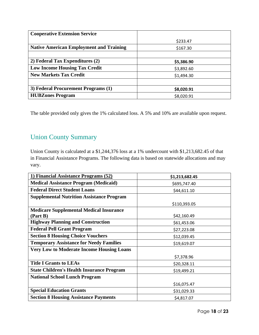| <b>Cooperative Extension Service</b>           |            |
|------------------------------------------------|------------|
|                                                | \$233.47   |
| <b>Native American Employment and Training</b> | \$167.30   |
|                                                |            |
| 2) Federal Tax Expenditures (2)                | \$5,386.90 |
| <b>Low Income Housing Tax Credit</b>           | \$3,892.60 |
| <b>New Markets Tax Credit</b>                  | \$1,494.30 |
|                                                |            |
| 3) Federal Procurement Programs (1)            | \$8,020.91 |
| <b>HUBZones Program</b>                        | \$8,020.91 |

#### <span id="page-18-0"></span>Union County Summary

Union County is calculated at a \$1,244,376 loss at a 1% undercount with \$1,213,682.45 of that in Financial Assistance Programs. The following data is based on statewide allocations and may vary.

| 1) Financial Assistance Programs (52)            | \$1,213,682.45 |
|--------------------------------------------------|----------------|
| <b>Medical Assistance Program (Medicaid)</b>     | \$695,747.40   |
| <b>Federal Direct Student Loans</b>              | \$44,611.10    |
| <b>Supplemental Nutrition Assistance Program</b> |                |
|                                                  | \$110,393.05   |
| <b>Medicare Supplemental Medical Insurance</b>   |                |
| (Part B)                                         | \$42,160.49    |
| <b>Highway Planning and Construction</b>         | \$61,453.06    |
| <b>Federal Pell Grant Program</b>                | \$27,223.08    |
| <b>Section 8 Housing Choice Vouchers</b>         | \$12,039.45    |
| <b>Temporary Assistance for Needy Families</b>   | \$19,619.07    |
| <b>Very Low to Moderate Income Housing Loans</b> |                |
|                                                  | \$7,378.96     |
| <b>Title I Grants to LEAs</b>                    | \$20,328.11    |
| <b>State Children's Health Insurance Program</b> | \$19,499.21    |
| <b>National School Lunch Program</b>             |                |
|                                                  | \$16,075.47    |
| <b>Special Education Grants</b>                  | \$31,029.33    |
| <b>Section 8 Housing Assistance Payments</b>     | \$4,817.07     |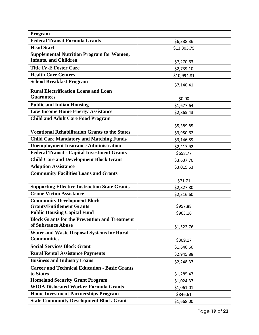| Program                                                                                    |             |
|--------------------------------------------------------------------------------------------|-------------|
| <b>Federal Transit Formula Grants</b>                                                      | \$6,338.36  |
| <b>Head Start</b>                                                                          | \$13,305.75 |
| <b>Supplemental Nutrition Program for Women,</b>                                           |             |
| <b>Infants, and Children</b>                                                               | \$7,270.63  |
| <b>Title IV-E Foster Care</b>                                                              | \$2,739.10  |
| <b>Health Care Centers</b>                                                                 | \$10,994.81 |
| <b>School Breakfast Program</b>                                                            | \$7,140.41  |
| <b>Rural Electrification Loans and Loan</b>                                                |             |
| <b>Guarantees</b>                                                                          | \$0.00      |
| <b>Public and Indian Housing</b>                                                           | \$1,677.64  |
| <b>Low Income Home Energy Assistance</b>                                                   | \$2,865.43  |
| <b>Child and Adult Care Food Program</b>                                                   |             |
|                                                                                            | \$5,389.85  |
| <b>Vocational Rehabilitation Grants to the States</b>                                      | \$3,950.62  |
| <b>Child Care Mandatory and Matching Funds</b>                                             | \$3,146.89  |
| <b>Unemployment Insurance Administration</b>                                               | \$2,417.92  |
| <b>Federal Transit - Capital Investment Grants</b>                                         | \$658.77    |
| <b>Child Care and Development Block Grant</b>                                              | \$3,637.70  |
| <b>Adoption Assistance</b>                                                                 | \$3,015.63  |
| <b>Community Facilities Loans and Grants</b>                                               |             |
|                                                                                            | \$71.71     |
| <b>Supporting Effective Instruction State Grants</b>                                       | \$2,827.80  |
| <b>Crime Victim Assistance</b>                                                             | \$2,316.60  |
| <b>Community Development Block</b>                                                         |             |
| <b>Grants/Entitlement Grants</b>                                                           | \$957.88    |
| <b>Public Housing Capital Fund</b><br><b>Block Grants for the Prevention and Treatment</b> | \$963.16    |
| of Substance Abuse                                                                         |             |
| <b>Water and Waste Disposal Systems for Rural</b>                                          | \$1,522.76  |
| <b>Communities</b>                                                                         | \$309.17    |
| <b>Social Services Block Grant</b>                                                         | \$1,640.60  |
| <b>Rural Rental Assistance Payments</b>                                                    | \$2,945.88  |
| <b>Business and Industry Loans</b>                                                         | \$2,248.37  |
| <b>Career and Technical Education - Basic Grants</b>                                       |             |
| to States                                                                                  | \$1,285.47  |
| <b>Homeland Security Grant Program</b>                                                     | \$1,024.37  |
| <b>WIOA Dislocated Worker Formula Grants</b>                                               | \$1,061.01  |
| <b>Home Investment Partnerships Program</b>                                                | \$846.61    |
| <b>State Community Development Block Grant</b>                                             | \$1,668.00  |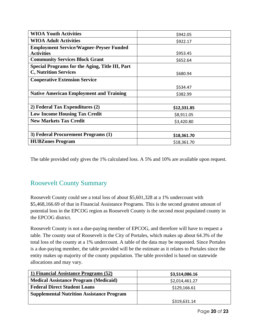| <b>WIOA Youth Activities</b>                    | \$942.05    |
|-------------------------------------------------|-------------|
| <b>WIOA Adult Activities</b>                    | \$922.17    |
| <b>Employment Service/Wagner-Peyser Funded</b>  |             |
| <b>Activities</b>                               | \$953.45    |
| <b>Community Services Block Grant</b>           | \$652.64    |
| Special Programs for the Aging, Title III, Part |             |
| <b>C, Nutrition Services</b>                    | \$680.94    |
| <b>Cooperative Extension Service</b>            |             |
|                                                 | \$534.47    |
| <b>Native American Employment and Training</b>  | \$382.99    |
|                                                 |             |
| 2) Federal Tax Expenditures (2)                 | \$12,331.85 |
| <b>Low Income Housing Tax Credit</b>            | \$8,911.05  |
| <b>New Markets Tax Credit</b>                   | \$3,420.80  |
|                                                 |             |
| 3) Federal Procurement Programs (1)             | \$18,361.70 |
| <b>HUBZones Program</b>                         | \$18,361.70 |

#### <span id="page-20-0"></span>Roosevelt County Summary

Roosevelt County could see a total loss of about \$5,601,328 at a 1% undercount with \$5,468,166.69 of that in Financial Assistance Programs. This is the second greatest amount of potential loss in the EPCOG region as Roosevelt County is the second most populated county in the EPCOG district.

Roosevelt County is not a due-paying member of EPCOG, and therefore will have to request a table. The county seat of Roosevelt is the City of Portales, which makes up about 64.3% of the total loss of the county at a 1% undercount. A table of the data may be requested. Since Portales is a due-paying member, the table provided will be the estimate as it relates to Portales since the entity makes up majority of the county population. The table provided is based on statewide allocations and may vary.

| 1) Financial Assistance Programs (52)            | \$3,514,086.16 |
|--------------------------------------------------|----------------|
| <b>Medical Assistance Program (Medicaid)</b>     | \$2,014,461.27 |
| <b>Federal Direct Student Loans</b>              | \$129,166.61   |
| <b>Supplemental Nutrition Assistance Program</b> |                |
|                                                  | \$319,631.14   |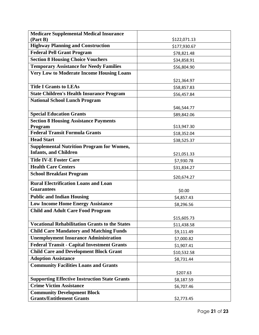| <b>Medicare Supplemental Medical Insurance</b>        |              |
|-------------------------------------------------------|--------------|
| (Part B)                                              | \$122,071.13 |
| <b>Highway Planning and Construction</b>              | \$177,930.67 |
| <b>Federal Pell Grant Program</b>                     | \$78,821.48  |
| <b>Section 8 Housing Choice Vouchers</b>              | \$34,858.91  |
| <b>Temporary Assistance for Needy Families</b>        | \$56,804.90  |
| <b>Very Low to Moderate Income Housing Loans</b>      |              |
|                                                       | \$21,364.97  |
| <b>Title I Grants to LEAs</b>                         | \$58,857.83  |
| <b>State Children's Health Insurance Program</b>      | \$56,457.84  |
| <b>National School Lunch Program</b>                  |              |
|                                                       | \$46,544.77  |
| <b>Special Education Grants</b>                       | \$89,842.06  |
| <b>Section 8 Housing Assistance Payments</b>          |              |
| Program                                               | \$13,947.30  |
| <b>Federal Transit Formula Grants</b>                 | \$18,352.04  |
| <b>Head Start</b>                                     | \$38,525.37  |
| <b>Supplemental Nutrition Program for Women,</b>      |              |
| <b>Infants, and Children</b>                          | \$21,051.33  |
| <b>Title IV-E Foster Care</b>                         | \$7,930.78   |
| <b>Health Care Centers</b>                            | \$31,834.27  |
| <b>School Breakfast Program</b>                       | \$20,674.27  |
| <b>Rural Electrification Loans and Loan</b>           |              |
| <b>Guarantees</b>                                     | \$0.00       |
| <b>Public and Indian Housing</b>                      | \$4,857.43   |
| <b>Low Income Home Energy Assistance</b>              | \$8,296.56   |
| <b>Child and Adult Care Food Program</b>              |              |
|                                                       | \$15,605.73  |
| <b>Vocational Rehabilitation Grants to the States</b> | \$11,438.58  |
| <b>Child Care Mandatory and Matching Funds</b>        | \$9,111.49   |
| <b>Unemployment Insurance Administration</b>          | \$7,000.82   |
| <b>Federal Transit - Capital Investment Grants</b>    | \$1,907.41   |
| <b>Child Care and Development Block Grant</b>         | \$10,532.58  |
| <b>Adoption Assistance</b>                            | \$8,731.44   |
| <b>Community Facilities Loans and Grants</b>          |              |
|                                                       | \$207.63     |
| <b>Supporting Effective Instruction State Grants</b>  | \$8,187.59   |
| <b>Crime Victim Assistance</b>                        | \$6,707.46   |
| <b>Community Development Block</b>                    |              |
| <b>Grants/Entitlement Grants</b>                      | \$2,773.45   |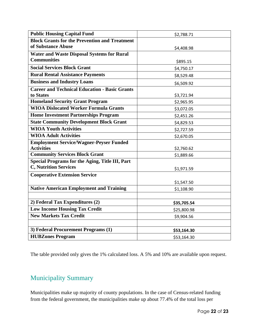| <b>Public Housing Capital Fund</b>                     | \$2,788.71  |
|--------------------------------------------------------|-------------|
| <b>Block Grants for the Prevention and Treatment</b>   |             |
| of Substance Abuse                                     | \$4,408.98  |
| <b>Water and Waste Disposal Systems for Rural</b>      |             |
| <b>Communities</b>                                     | \$895.15    |
| <b>Social Services Block Grant</b>                     | \$4,750.17  |
| <b>Rural Rental Assistance Payments</b>                | \$8,529.48  |
| <b>Business and Industry Loans</b>                     | \$6,509.92  |
| <b>Career and Technical Education - Basic Grants</b>   |             |
| to States                                              | \$3,721.94  |
| <b>Homeland Security Grant Program</b>                 | \$2,965.95  |
| <b>WIOA Dislocated Worker Formula Grants</b>           | \$3,072.05  |
| <b>Home Investment Partnerships Program</b>            | \$2,451.26  |
| <b>State Community Development Block Grant</b>         | \$4,829.53  |
| <b>WIOA Youth Activities</b>                           | \$2,727.59  |
| <b>WIOA Adult Activities</b>                           | \$2,670.05  |
| <b>Employment Service/Wagner-Peyser Funded</b>         |             |
| <b>Activities</b>                                      | \$2,760.62  |
| <b>Community Services Block Grant</b>                  | \$1,889.66  |
| <b>Special Programs for the Aging, Title III, Part</b> |             |
| <b>C, Nutrition Services</b>                           | \$1,971.59  |
| <b>Cooperative Extension Service</b>                   |             |
|                                                        | \$1,547.50  |
| <b>Native American Employment and Training</b>         | \$1,108.90  |
|                                                        |             |
| 2) Federal Tax Expenditures (2)                        | \$35,705.54 |
| <b>Low Income Housing Tax Credit</b>                   | \$25,800.98 |
| <b>New Markets Tax Credit</b>                          | \$9,904.56  |
|                                                        |             |
| 3) Federal Procurement Programs (1)                    | \$53,164.30 |
| <b>HUBZones Program</b>                                | \$53,164.30 |

#### <span id="page-22-0"></span>Municipality Summary

Municipalities make up majority of county populations. In the case of Census-related funding from the federal government, the municipalities make up about 77.4% of the total loss per